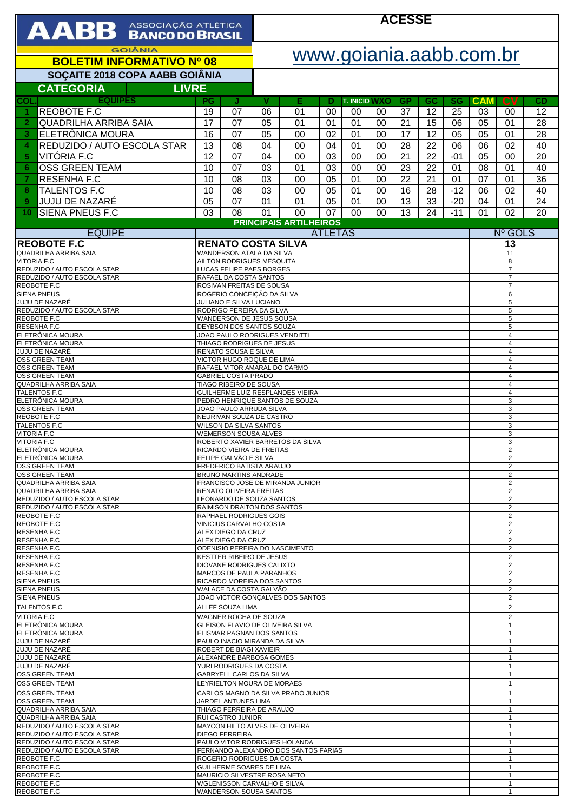| <b>GOIÂNIA</b><br>www.goiania.aabb.com.br<br><b>BOLETIM INFORMATIVO Nº 08</b><br>SOÇAITE 2018 COPA AABB GOIÂNIA<br><b>CATEGORIA</b><br><b>LIVRE</b><br><b>EQUIPES</b><br>$c_{V}$<br>PG<br>v<br>Е<br><b>T. INICIO WXO</b><br><b>GP</b><br><b>CAM</b><br>J<br>GC<br>SG<br>CD<br>D<br><b>REOBOTE F.C</b><br>01<br>37<br>12<br>25<br>12<br>19<br>07<br>06<br>00<br>03<br>00<br>00<br>00<br>1<br><b>QUADRILHA ARRIBA SAIA</b><br>17<br>21<br>15<br>07<br>05<br>01<br>01<br>00<br>06<br>05<br>01<br>28<br>$\overline{2}$<br>01<br>ELETRÔNICA MOURA<br>07<br>17<br>12<br>05<br>05<br>01<br>28<br>16<br>05<br>00<br>02<br>01<br>00<br>3<br>08<br>28<br>02<br>REDUZIDO / AUTO ESCOLA STAR<br>13<br>04<br>00<br>04<br>01<br>00<br>22<br>06<br>06<br>40<br>4<br>VITÓRIA F.C<br>12<br>07<br>21<br>22<br>05<br>00<br>20<br>5<br>04<br>00<br>03<br>00<br>00<br>$-01$<br><b>OSS GREEN TEAM</b><br>07<br>08<br>10<br>03<br>01<br>03<br>00<br>00<br>23<br>22<br>01<br>01<br>40<br>6<br>36<br><b>RESENHA F.C</b><br>08<br>03<br>22<br>07<br>10<br>00<br>05<br>01<br>00<br>21<br>01<br>01<br>7<br><b>TALENTOS F.C</b><br>$-12$<br>10<br>08<br>03<br>05<br>00<br>06<br>02<br>8<br>00<br>01<br>16<br>28<br>40<br>07<br>24<br><b>JUJU DE NAZARÉ</b><br>05<br>05<br>00<br>13<br>01<br>9<br>01<br>01<br>01<br>33<br>$-20$<br>04<br><b>SIENA PNEUS F.C</b><br>01<br>13<br>$-11$<br>02<br>03<br>08<br>00<br>07<br>00<br>24<br>01<br>20<br>10.<br>00<br><b>PRINCIPAIS ARTILHEIROS</b><br><b>EQUIPE</b><br>Nº GOLS<br><b>ATLETAS</b><br><b>RENATO COSTA SILVA</b><br>13<br>WANDERSON ATALA DA SILVA<br>11<br>AILTON RODRIGUES MESQUITA<br>8<br>LUCAS FELIPE PAES BORGES<br>$\overline{7}$<br>$\overline{7}$<br>RAFAEL DA COSTA SANTOS<br>$\overline{7}$<br>ROSIVAN FREITAS DE SOUSA<br>ROGERIO CONCEIÇÃO DA SILVA<br>6<br>$\mathbf 5$<br>JULIANO E SILVA LUCIANO<br>5<br>RODRIGO PEREIRA DA SILVA<br>WANDERSON DE JESUS SOUSA<br>5<br>DEYBSON DOS SANTOS SOUZA<br>5<br>JOAO PAULO RODRIGUES VENDITTI<br>$\overline{4}$<br>THIAGO RODRIGUES DE JESUS<br>$\overline{4}$<br>4<br>RENATO SOUSA E SILVA<br>$\overline{4}$<br>VICTOR HUGO ROQUE DE LIMA<br>RAFAEL VITOR AMARAL DO CARMO<br>4<br><b>GABRIEL COSTA PRADO</b><br>$\overline{4}$<br>$\overline{4}$<br>TIAGO RIBEIRO DE SOUSA<br>GUILHERME LUIZ RESPLANDES VIEIRA<br>$\overline{4}$<br>3<br>PEDRO HENRIQUE SANTOS DE SOUZA<br>JOAO PAULO ARRUDA SILVA<br>3<br>NEURIVAN SOUZA DE CASTRO<br>3<br><b>WILSON DA SILVA SANTOS</b><br>3<br><b>WEMERSON SOUSA ALVES</b><br>3<br>3<br>ROBERTO XAVIER BARRETOS DA SILVA<br>RICARDO VIEIRA DE FREITAS<br>2<br>FELIPE GALVÃO E SILVA<br>2<br>FREDERICO BATISTA ARAUJO<br>2<br>BRUNO MARTINS ANDRADE<br>$\overline{c}$<br>FRANCISCO JOSE DE MIRANDA JUNIOR<br>2<br>$\overline{\mathbf{c}}$<br>RENATO OLIVEIRA FREITAS<br>LEONARDO DE SOUZA SANTOS<br>$\overline{\mathbf{c}}$<br>RAIMISON DRAITON DOS SANTOS<br>2<br>$\overline{\mathbf{c}}$<br>RAPHAEL RODRIGUES GOIS<br>VINICIUS CARVALHO COSTA<br>2<br>ALEX DIEGO DA CRUZ<br>$\overline{c}$<br>$\overline{\mathbf{c}}$<br>ALEX DIEGO DA CRUZ<br>ODENISIO PEREIRA DO NASCIMENTO<br>$\overline{2}$<br><b>KESTTER RIBEIRO DE JESUS</b><br>2<br>DIOVANE RODRIGUES CALIXTO<br>2<br>$\overline{2}$<br>MARCOS DE PAULA PARANHOS<br>RICARDO MOREIRA DOS SANTOS<br>2<br>$\overline{\mathbf{c}}$<br>WALACE DA COSTA GALVÃO<br>$\overline{2}$<br>JOAO VICTOR GONÇALVES DOS SANTOS<br>$\overline{2}$<br>ALLEF SOUZA LIMA<br>WAGNER ROCHA DE SOUZA<br>$\overline{2}$<br>GLEISON FLAVIO DE OLIVEIRA SILVA<br>$\mathbf{1}$<br>ELISMAR PAGNAN DOS SANTOS<br>$\mathbf{1}$<br>PAULO INACIO MIRANDA DA SILVA<br>$\mathbf{1}$<br>ROBERT DE BIAGI XAVIEIR<br>$\mathbf{1}$<br>ALEXANDRE BARBOSA GOMES<br>$\mathbf{1}$<br>YURI RODRIGUES DA COSTA<br>$\mathbf{1}$<br>GABRYELL CARLOS DA SILVA<br>$\mathbf{1}$<br>$\mathbf{1}$<br>LEYRIELTON MOURA DE MORAES<br>CARLOS MAGNO DA SILVA PRADO JUNIOR<br>$\mathbf{1}$<br>JARDEL ANTUNES LIMA<br>$\mathbf{1}$<br>THIAGO FERREIRA DE ARAUJO<br>$\mathbf{1}$<br>RUI CASTRO JUNIOR<br>$\mathbf{1}$<br>MAYCON HILTO ALVES DE OLIVEIRA<br>$\mathbf{1}$<br><b>DIEGO FERREIRA</b><br>$\mathbf{1}$<br>PAULO VITOR RODRIGUES HOLANDA<br>$\mathbf{1}$<br>FERNANDO ALEXANDRO DOS SANTOS FARIAS<br>$\mathbf{1}$<br>ROGERIO RODRIGUES DA COSTA<br>$\mathbf{1}$<br>GUILHERME SOARES DE LIMA<br>$\mathbf{1}$ | AABB ASSOCIAÇÃO ATLÉTICA |  |  | <b>ACESSE</b> |  |  |  |  |  |  |  |  |  |  |
|----------------------------------------------------------------------------------------------------------------------------------------------------------------------------------------------------------------------------------------------------------------------------------------------------------------------------------------------------------------------------------------------------------------------------------------------------------------------------------------------------------------------------------------------------------------------------------------------------------------------------------------------------------------------------------------------------------------------------------------------------------------------------------------------------------------------------------------------------------------------------------------------------------------------------------------------------------------------------------------------------------------------------------------------------------------------------------------------------------------------------------------------------------------------------------------------------------------------------------------------------------------------------------------------------------------------------------------------------------------------------------------------------------------------------------------------------------------------------------------------------------------------------------------------------------------------------------------------------------------------------------------------------------------------------------------------------------------------------------------------------------------------------------------------------------------------------------------------------------------------------------------------------------------------------------------------------------------------------------------------------------------------------------------------------------------------------------------------------------------------------------------------------------------------------------------------------------------------------------------------------------------------------------------------------------------------------------------------------------------------------------------------------------------------------------------------------------------------------------------------------------------------------------------------------------------------------------------------------------------------------------------------------------------------------------------------------------------------------------------------------------------------------------------------------------------------------------------------------------------------------------------------------------------------------------------------------------------------------------------------------------------------------------------------------------------------------------------------------------------------------------------------------------------------------------------------------------------------------------------------------------------------------------------------------------------------------------------------------------------------------------------------------------------------------------------------------------------------------------------------------------------------------------------------------------------------------------------------------------------------------------------------------------------------------------------------------------------------------------------------------------------------------------------------------------------------------------------------------------------------------------------------------------------------------------------------------------------------------------------------------------------------------------------------------------------------------------------------------------------------------------------------------------------------------------------------------------------------------------------------------------------------------------------------------------------------------------|--------------------------|--|--|---------------|--|--|--|--|--|--|--|--|--|--|
| COL<br><b>REOBOTE F.C</b><br>QUADRILHA ARRIBA SAIA<br><b>VITORIA F.C.</b><br>REDUZIDO / AUTO ESCOLA STAR<br>REDUZIDO / AUTO ESCOLA STAR<br>REOBOTE F.C<br><b>SIENA PNEUS</b><br>JUJU DE NAZARÉ<br>REDUZIDO / AUTO ESCOLA STAR<br>REOBOTE F.C<br>RESENHA F.C<br>ELETRÔNICA MOURA<br>ELETRÔNICA MOURA<br><b>JUJU DE NAZARÉ</b><br>OSS GREEN TEAM<br><b>OSS GREEN TEAM</b><br><b>OSS GREEN TEAM</b><br>QUADRILHA ARRIBA SAIA<br><b>TALENTOS F.C</b><br>ELETRÔNICA MOURA<br><b>OSS GREEN TEAM</b><br>REOBOTE F.C<br><b>TALENTOS F.C</b><br><b>VITORIA F.C</b><br><b>VITORIA F.C</b><br>ELETRÖNICA MOURA<br>ELETRÖNICA MOURA<br>OSS GREEN TEAM<br><b>OSS GREEN TEAM</b><br>QUADRILHA ARRIBA SAIA<br>QUADRILHA ARRIBA SAIA<br>REDUZIDO / AUTO ESCOLA STAR<br>REDUZIDO / AUTO ESCOLA STAR<br>REOBOTE F.C<br>REOBOTE F.C<br>RESENHA F.C<br>RESENHA F.C<br>RESENHA F.C<br><b>RESENHAF.C</b><br>RESENHA F.C<br>RESENHA F.C<br><b>SIENA PNEUS</b><br><b>SIENA PNEUS</b><br>SIENA PNEUS<br>TALENTOS F.C<br><b>VITORIA F.C</b><br>ELETRÖNICA MOURA<br>ELETRÖNICA MOURA<br>JUJU DE NAZARÊ<br>JUJU DE NAZARÉ<br>JUJU DE NAZARÊ<br>JUJU DE NAZARÉ<br><b>OSS GREEN TEAM</b><br><b>OSS GREEN TEAM</b><br><b>OSS GREEN TEAM</b><br><b>OSS GREEN TEAM</b><br>QUADRILHA ARRIBA SAIA<br>QUADRILHA ARRIBA SAIA<br>REDUZIDO / AUTO ESCOLA STAR<br>REDUZIDO / AUTO ESCOLA STAR<br>REDUZIDO / AUTO ESCOLA STAR<br>REDUZIDO / AUTO ESCOLA STAR<br>REOBOTE F.C<br>REOBOTE F.C                                                                                                                                                                                                                                                                                                                                                                                                                                                                                                                                                                                                                                                                                                                                                                                                                                                                                                                                                                                                                                                                                                                                                                                                                                                                                                                                                                                                                                                                                                                                                                                                                                                                                                                                                                                                                                                                                                                                                                                                                                                                                                                                                                                                                                                                                                                                                                                                                                                                                                                                                                                                                                                                                                                                                                                                                                                                                |                          |  |  |               |  |  |  |  |  |  |  |  |  |  |
|                                                                                                                                                                                                                                                                                                                                                                                                                                                                                                                                                                                                                                                                                                                                                                                                                                                                                                                                                                                                                                                                                                                                                                                                                                                                                                                                                                                                                                                                                                                                                                                                                                                                                                                                                                                                                                                                                                                                                                                                                                                                                                                                                                                                                                                                                                                                                                                                                                                                                                                                                                                                                                                                                                                                                                                                                                                                                                                                                                                                                                                                                                                                                                                                                                                                                                                                                                                                                                                                                                                                                                                                                                                                                                                                                                                                                                                                                                                                                                                                                                                                                                                                                                                                                                                                                                                                  |                          |  |  |               |  |  |  |  |  |  |  |  |  |  |
|                                                                                                                                                                                                                                                                                                                                                                                                                                                                                                                                                                                                                                                                                                                                                                                                                                                                                                                                                                                                                                                                                                                                                                                                                                                                                                                                                                                                                                                                                                                                                                                                                                                                                                                                                                                                                                                                                                                                                                                                                                                                                                                                                                                                                                                                                                                                                                                                                                                                                                                                                                                                                                                                                                                                                                                                                                                                                                                                                                                                                                                                                                                                                                                                                                                                                                                                                                                                                                                                                                                                                                                                                                                                                                                                                                                                                                                                                                                                                                                                                                                                                                                                                                                                                                                                                                                                  |                          |  |  |               |  |  |  |  |  |  |  |  |  |  |
|                                                                                                                                                                                                                                                                                                                                                                                                                                                                                                                                                                                                                                                                                                                                                                                                                                                                                                                                                                                                                                                                                                                                                                                                                                                                                                                                                                                                                                                                                                                                                                                                                                                                                                                                                                                                                                                                                                                                                                                                                                                                                                                                                                                                                                                                                                                                                                                                                                                                                                                                                                                                                                                                                                                                                                                                                                                                                                                                                                                                                                                                                                                                                                                                                                                                                                                                                                                                                                                                                                                                                                                                                                                                                                                                                                                                                                                                                                                                                                                                                                                                                                                                                                                                                                                                                                                                  |                          |  |  |               |  |  |  |  |  |  |  |  |  |  |
|                                                                                                                                                                                                                                                                                                                                                                                                                                                                                                                                                                                                                                                                                                                                                                                                                                                                                                                                                                                                                                                                                                                                                                                                                                                                                                                                                                                                                                                                                                                                                                                                                                                                                                                                                                                                                                                                                                                                                                                                                                                                                                                                                                                                                                                                                                                                                                                                                                                                                                                                                                                                                                                                                                                                                                                                                                                                                                                                                                                                                                                                                                                                                                                                                                                                                                                                                                                                                                                                                                                                                                                                                                                                                                                                                                                                                                                                                                                                                                                                                                                                                                                                                                                                                                                                                                                                  |                          |  |  |               |  |  |  |  |  |  |  |  |  |  |
|                                                                                                                                                                                                                                                                                                                                                                                                                                                                                                                                                                                                                                                                                                                                                                                                                                                                                                                                                                                                                                                                                                                                                                                                                                                                                                                                                                                                                                                                                                                                                                                                                                                                                                                                                                                                                                                                                                                                                                                                                                                                                                                                                                                                                                                                                                                                                                                                                                                                                                                                                                                                                                                                                                                                                                                                                                                                                                                                                                                                                                                                                                                                                                                                                                                                                                                                                                                                                                                                                                                                                                                                                                                                                                                                                                                                                                                                                                                                                                                                                                                                                                                                                                                                                                                                                                                                  |                          |  |  |               |  |  |  |  |  |  |  |  |  |  |
|                                                                                                                                                                                                                                                                                                                                                                                                                                                                                                                                                                                                                                                                                                                                                                                                                                                                                                                                                                                                                                                                                                                                                                                                                                                                                                                                                                                                                                                                                                                                                                                                                                                                                                                                                                                                                                                                                                                                                                                                                                                                                                                                                                                                                                                                                                                                                                                                                                                                                                                                                                                                                                                                                                                                                                                                                                                                                                                                                                                                                                                                                                                                                                                                                                                                                                                                                                                                                                                                                                                                                                                                                                                                                                                                                                                                                                                                                                                                                                                                                                                                                                                                                                                                                                                                                                                                  |                          |  |  |               |  |  |  |  |  |  |  |  |  |  |
|                                                                                                                                                                                                                                                                                                                                                                                                                                                                                                                                                                                                                                                                                                                                                                                                                                                                                                                                                                                                                                                                                                                                                                                                                                                                                                                                                                                                                                                                                                                                                                                                                                                                                                                                                                                                                                                                                                                                                                                                                                                                                                                                                                                                                                                                                                                                                                                                                                                                                                                                                                                                                                                                                                                                                                                                                                                                                                                                                                                                                                                                                                                                                                                                                                                                                                                                                                                                                                                                                                                                                                                                                                                                                                                                                                                                                                                                                                                                                                                                                                                                                                                                                                                                                                                                                                                                  |                          |  |  |               |  |  |  |  |  |  |  |  |  |  |
|                                                                                                                                                                                                                                                                                                                                                                                                                                                                                                                                                                                                                                                                                                                                                                                                                                                                                                                                                                                                                                                                                                                                                                                                                                                                                                                                                                                                                                                                                                                                                                                                                                                                                                                                                                                                                                                                                                                                                                                                                                                                                                                                                                                                                                                                                                                                                                                                                                                                                                                                                                                                                                                                                                                                                                                                                                                                                                                                                                                                                                                                                                                                                                                                                                                                                                                                                                                                                                                                                                                                                                                                                                                                                                                                                                                                                                                                                                                                                                                                                                                                                                                                                                                                                                                                                                                                  |                          |  |  |               |  |  |  |  |  |  |  |  |  |  |
|                                                                                                                                                                                                                                                                                                                                                                                                                                                                                                                                                                                                                                                                                                                                                                                                                                                                                                                                                                                                                                                                                                                                                                                                                                                                                                                                                                                                                                                                                                                                                                                                                                                                                                                                                                                                                                                                                                                                                                                                                                                                                                                                                                                                                                                                                                                                                                                                                                                                                                                                                                                                                                                                                                                                                                                                                                                                                                                                                                                                                                                                                                                                                                                                                                                                                                                                                                                                                                                                                                                                                                                                                                                                                                                                                                                                                                                                                                                                                                                                                                                                                                                                                                                                                                                                                                                                  |                          |  |  |               |  |  |  |  |  |  |  |  |  |  |
|                                                                                                                                                                                                                                                                                                                                                                                                                                                                                                                                                                                                                                                                                                                                                                                                                                                                                                                                                                                                                                                                                                                                                                                                                                                                                                                                                                                                                                                                                                                                                                                                                                                                                                                                                                                                                                                                                                                                                                                                                                                                                                                                                                                                                                                                                                                                                                                                                                                                                                                                                                                                                                                                                                                                                                                                                                                                                                                                                                                                                                                                                                                                                                                                                                                                                                                                                                                                                                                                                                                                                                                                                                                                                                                                                                                                                                                                                                                                                                                                                                                                                                                                                                                                                                                                                                                                  |                          |  |  |               |  |  |  |  |  |  |  |  |  |  |
|                                                                                                                                                                                                                                                                                                                                                                                                                                                                                                                                                                                                                                                                                                                                                                                                                                                                                                                                                                                                                                                                                                                                                                                                                                                                                                                                                                                                                                                                                                                                                                                                                                                                                                                                                                                                                                                                                                                                                                                                                                                                                                                                                                                                                                                                                                                                                                                                                                                                                                                                                                                                                                                                                                                                                                                                                                                                                                                                                                                                                                                                                                                                                                                                                                                                                                                                                                                                                                                                                                                                                                                                                                                                                                                                                                                                                                                                                                                                                                                                                                                                                                                                                                                                                                                                                                                                  |                          |  |  |               |  |  |  |  |  |  |  |  |  |  |
|                                                                                                                                                                                                                                                                                                                                                                                                                                                                                                                                                                                                                                                                                                                                                                                                                                                                                                                                                                                                                                                                                                                                                                                                                                                                                                                                                                                                                                                                                                                                                                                                                                                                                                                                                                                                                                                                                                                                                                                                                                                                                                                                                                                                                                                                                                                                                                                                                                                                                                                                                                                                                                                                                                                                                                                                                                                                                                                                                                                                                                                                                                                                                                                                                                                                                                                                                                                                                                                                                                                                                                                                                                                                                                                                                                                                                                                                                                                                                                                                                                                                                                                                                                                                                                                                                                                                  |                          |  |  |               |  |  |  |  |  |  |  |  |  |  |
|                                                                                                                                                                                                                                                                                                                                                                                                                                                                                                                                                                                                                                                                                                                                                                                                                                                                                                                                                                                                                                                                                                                                                                                                                                                                                                                                                                                                                                                                                                                                                                                                                                                                                                                                                                                                                                                                                                                                                                                                                                                                                                                                                                                                                                                                                                                                                                                                                                                                                                                                                                                                                                                                                                                                                                                                                                                                                                                                                                                                                                                                                                                                                                                                                                                                                                                                                                                                                                                                                                                                                                                                                                                                                                                                                                                                                                                                                                                                                                                                                                                                                                                                                                                                                                                                                                                                  |                          |  |  |               |  |  |  |  |  |  |  |  |  |  |
|                                                                                                                                                                                                                                                                                                                                                                                                                                                                                                                                                                                                                                                                                                                                                                                                                                                                                                                                                                                                                                                                                                                                                                                                                                                                                                                                                                                                                                                                                                                                                                                                                                                                                                                                                                                                                                                                                                                                                                                                                                                                                                                                                                                                                                                                                                                                                                                                                                                                                                                                                                                                                                                                                                                                                                                                                                                                                                                                                                                                                                                                                                                                                                                                                                                                                                                                                                                                                                                                                                                                                                                                                                                                                                                                                                                                                                                                                                                                                                                                                                                                                                                                                                                                                                                                                                                                  |                          |  |  |               |  |  |  |  |  |  |  |  |  |  |
|                                                                                                                                                                                                                                                                                                                                                                                                                                                                                                                                                                                                                                                                                                                                                                                                                                                                                                                                                                                                                                                                                                                                                                                                                                                                                                                                                                                                                                                                                                                                                                                                                                                                                                                                                                                                                                                                                                                                                                                                                                                                                                                                                                                                                                                                                                                                                                                                                                                                                                                                                                                                                                                                                                                                                                                                                                                                                                                                                                                                                                                                                                                                                                                                                                                                                                                                                                                                                                                                                                                                                                                                                                                                                                                                                                                                                                                                                                                                                                                                                                                                                                                                                                                                                                                                                                                                  |                          |  |  |               |  |  |  |  |  |  |  |  |  |  |
|                                                                                                                                                                                                                                                                                                                                                                                                                                                                                                                                                                                                                                                                                                                                                                                                                                                                                                                                                                                                                                                                                                                                                                                                                                                                                                                                                                                                                                                                                                                                                                                                                                                                                                                                                                                                                                                                                                                                                                                                                                                                                                                                                                                                                                                                                                                                                                                                                                                                                                                                                                                                                                                                                                                                                                                                                                                                                                                                                                                                                                                                                                                                                                                                                                                                                                                                                                                                                                                                                                                                                                                                                                                                                                                                                                                                                                                                                                                                                                                                                                                                                                                                                                                                                                                                                                                                  |                          |  |  |               |  |  |  |  |  |  |  |  |  |  |
|                                                                                                                                                                                                                                                                                                                                                                                                                                                                                                                                                                                                                                                                                                                                                                                                                                                                                                                                                                                                                                                                                                                                                                                                                                                                                                                                                                                                                                                                                                                                                                                                                                                                                                                                                                                                                                                                                                                                                                                                                                                                                                                                                                                                                                                                                                                                                                                                                                                                                                                                                                                                                                                                                                                                                                                                                                                                                                                                                                                                                                                                                                                                                                                                                                                                                                                                                                                                                                                                                                                                                                                                                                                                                                                                                                                                                                                                                                                                                                                                                                                                                                                                                                                                                                                                                                                                  |                          |  |  |               |  |  |  |  |  |  |  |  |  |  |
|                                                                                                                                                                                                                                                                                                                                                                                                                                                                                                                                                                                                                                                                                                                                                                                                                                                                                                                                                                                                                                                                                                                                                                                                                                                                                                                                                                                                                                                                                                                                                                                                                                                                                                                                                                                                                                                                                                                                                                                                                                                                                                                                                                                                                                                                                                                                                                                                                                                                                                                                                                                                                                                                                                                                                                                                                                                                                                                                                                                                                                                                                                                                                                                                                                                                                                                                                                                                                                                                                                                                                                                                                                                                                                                                                                                                                                                                                                                                                                                                                                                                                                                                                                                                                                                                                                                                  |                          |  |  |               |  |  |  |  |  |  |  |  |  |  |
|                                                                                                                                                                                                                                                                                                                                                                                                                                                                                                                                                                                                                                                                                                                                                                                                                                                                                                                                                                                                                                                                                                                                                                                                                                                                                                                                                                                                                                                                                                                                                                                                                                                                                                                                                                                                                                                                                                                                                                                                                                                                                                                                                                                                                                                                                                                                                                                                                                                                                                                                                                                                                                                                                                                                                                                                                                                                                                                                                                                                                                                                                                                                                                                                                                                                                                                                                                                                                                                                                                                                                                                                                                                                                                                                                                                                                                                                                                                                                                                                                                                                                                                                                                                                                                                                                                                                  |                          |  |  |               |  |  |  |  |  |  |  |  |  |  |
|                                                                                                                                                                                                                                                                                                                                                                                                                                                                                                                                                                                                                                                                                                                                                                                                                                                                                                                                                                                                                                                                                                                                                                                                                                                                                                                                                                                                                                                                                                                                                                                                                                                                                                                                                                                                                                                                                                                                                                                                                                                                                                                                                                                                                                                                                                                                                                                                                                                                                                                                                                                                                                                                                                                                                                                                                                                                                                                                                                                                                                                                                                                                                                                                                                                                                                                                                                                                                                                                                                                                                                                                                                                                                                                                                                                                                                                                                                                                                                                                                                                                                                                                                                                                                                                                                                                                  |                          |  |  |               |  |  |  |  |  |  |  |  |  |  |
|                                                                                                                                                                                                                                                                                                                                                                                                                                                                                                                                                                                                                                                                                                                                                                                                                                                                                                                                                                                                                                                                                                                                                                                                                                                                                                                                                                                                                                                                                                                                                                                                                                                                                                                                                                                                                                                                                                                                                                                                                                                                                                                                                                                                                                                                                                                                                                                                                                                                                                                                                                                                                                                                                                                                                                                                                                                                                                                                                                                                                                                                                                                                                                                                                                                                                                                                                                                                                                                                                                                                                                                                                                                                                                                                                                                                                                                                                                                                                                                                                                                                                                                                                                                                                                                                                                                                  |                          |  |  |               |  |  |  |  |  |  |  |  |  |  |
|                                                                                                                                                                                                                                                                                                                                                                                                                                                                                                                                                                                                                                                                                                                                                                                                                                                                                                                                                                                                                                                                                                                                                                                                                                                                                                                                                                                                                                                                                                                                                                                                                                                                                                                                                                                                                                                                                                                                                                                                                                                                                                                                                                                                                                                                                                                                                                                                                                                                                                                                                                                                                                                                                                                                                                                                                                                                                                                                                                                                                                                                                                                                                                                                                                                                                                                                                                                                                                                                                                                                                                                                                                                                                                                                                                                                                                                                                                                                                                                                                                                                                                                                                                                                                                                                                                                                  |                          |  |  |               |  |  |  |  |  |  |  |  |  |  |
|                                                                                                                                                                                                                                                                                                                                                                                                                                                                                                                                                                                                                                                                                                                                                                                                                                                                                                                                                                                                                                                                                                                                                                                                                                                                                                                                                                                                                                                                                                                                                                                                                                                                                                                                                                                                                                                                                                                                                                                                                                                                                                                                                                                                                                                                                                                                                                                                                                                                                                                                                                                                                                                                                                                                                                                                                                                                                                                                                                                                                                                                                                                                                                                                                                                                                                                                                                                                                                                                                                                                                                                                                                                                                                                                                                                                                                                                                                                                                                                                                                                                                                                                                                                                                                                                                                                                  |                          |  |  |               |  |  |  |  |  |  |  |  |  |  |
|                                                                                                                                                                                                                                                                                                                                                                                                                                                                                                                                                                                                                                                                                                                                                                                                                                                                                                                                                                                                                                                                                                                                                                                                                                                                                                                                                                                                                                                                                                                                                                                                                                                                                                                                                                                                                                                                                                                                                                                                                                                                                                                                                                                                                                                                                                                                                                                                                                                                                                                                                                                                                                                                                                                                                                                                                                                                                                                                                                                                                                                                                                                                                                                                                                                                                                                                                                                                                                                                                                                                                                                                                                                                                                                                                                                                                                                                                                                                                                                                                                                                                                                                                                                                                                                                                                                                  |                          |  |  |               |  |  |  |  |  |  |  |  |  |  |
|                                                                                                                                                                                                                                                                                                                                                                                                                                                                                                                                                                                                                                                                                                                                                                                                                                                                                                                                                                                                                                                                                                                                                                                                                                                                                                                                                                                                                                                                                                                                                                                                                                                                                                                                                                                                                                                                                                                                                                                                                                                                                                                                                                                                                                                                                                                                                                                                                                                                                                                                                                                                                                                                                                                                                                                                                                                                                                                                                                                                                                                                                                                                                                                                                                                                                                                                                                                                                                                                                                                                                                                                                                                                                                                                                                                                                                                                                                                                                                                                                                                                                                                                                                                                                                                                                                                                  |                          |  |  |               |  |  |  |  |  |  |  |  |  |  |
|                                                                                                                                                                                                                                                                                                                                                                                                                                                                                                                                                                                                                                                                                                                                                                                                                                                                                                                                                                                                                                                                                                                                                                                                                                                                                                                                                                                                                                                                                                                                                                                                                                                                                                                                                                                                                                                                                                                                                                                                                                                                                                                                                                                                                                                                                                                                                                                                                                                                                                                                                                                                                                                                                                                                                                                                                                                                                                                                                                                                                                                                                                                                                                                                                                                                                                                                                                                                                                                                                                                                                                                                                                                                                                                                                                                                                                                                                                                                                                                                                                                                                                                                                                                                                                                                                                                                  |                          |  |  |               |  |  |  |  |  |  |  |  |  |  |
|                                                                                                                                                                                                                                                                                                                                                                                                                                                                                                                                                                                                                                                                                                                                                                                                                                                                                                                                                                                                                                                                                                                                                                                                                                                                                                                                                                                                                                                                                                                                                                                                                                                                                                                                                                                                                                                                                                                                                                                                                                                                                                                                                                                                                                                                                                                                                                                                                                                                                                                                                                                                                                                                                                                                                                                                                                                                                                                                                                                                                                                                                                                                                                                                                                                                                                                                                                                                                                                                                                                                                                                                                                                                                                                                                                                                                                                                                                                                                                                                                                                                                                                                                                                                                                                                                                                                  |                          |  |  |               |  |  |  |  |  |  |  |  |  |  |
|                                                                                                                                                                                                                                                                                                                                                                                                                                                                                                                                                                                                                                                                                                                                                                                                                                                                                                                                                                                                                                                                                                                                                                                                                                                                                                                                                                                                                                                                                                                                                                                                                                                                                                                                                                                                                                                                                                                                                                                                                                                                                                                                                                                                                                                                                                                                                                                                                                                                                                                                                                                                                                                                                                                                                                                                                                                                                                                                                                                                                                                                                                                                                                                                                                                                                                                                                                                                                                                                                                                                                                                                                                                                                                                                                                                                                                                                                                                                                                                                                                                                                                                                                                                                                                                                                                                                  |                          |  |  |               |  |  |  |  |  |  |  |  |  |  |
|                                                                                                                                                                                                                                                                                                                                                                                                                                                                                                                                                                                                                                                                                                                                                                                                                                                                                                                                                                                                                                                                                                                                                                                                                                                                                                                                                                                                                                                                                                                                                                                                                                                                                                                                                                                                                                                                                                                                                                                                                                                                                                                                                                                                                                                                                                                                                                                                                                                                                                                                                                                                                                                                                                                                                                                                                                                                                                                                                                                                                                                                                                                                                                                                                                                                                                                                                                                                                                                                                                                                                                                                                                                                                                                                                                                                                                                                                                                                                                                                                                                                                                                                                                                                                                                                                                                                  |                          |  |  |               |  |  |  |  |  |  |  |  |  |  |
|                                                                                                                                                                                                                                                                                                                                                                                                                                                                                                                                                                                                                                                                                                                                                                                                                                                                                                                                                                                                                                                                                                                                                                                                                                                                                                                                                                                                                                                                                                                                                                                                                                                                                                                                                                                                                                                                                                                                                                                                                                                                                                                                                                                                                                                                                                                                                                                                                                                                                                                                                                                                                                                                                                                                                                                                                                                                                                                                                                                                                                                                                                                                                                                                                                                                                                                                                                                                                                                                                                                                                                                                                                                                                                                                                                                                                                                                                                                                                                                                                                                                                                                                                                                                                                                                                                                                  |                          |  |  |               |  |  |  |  |  |  |  |  |  |  |
|                                                                                                                                                                                                                                                                                                                                                                                                                                                                                                                                                                                                                                                                                                                                                                                                                                                                                                                                                                                                                                                                                                                                                                                                                                                                                                                                                                                                                                                                                                                                                                                                                                                                                                                                                                                                                                                                                                                                                                                                                                                                                                                                                                                                                                                                                                                                                                                                                                                                                                                                                                                                                                                                                                                                                                                                                                                                                                                                                                                                                                                                                                                                                                                                                                                                                                                                                                                                                                                                                                                                                                                                                                                                                                                                                                                                                                                                                                                                                                                                                                                                                                                                                                                                                                                                                                                                  |                          |  |  |               |  |  |  |  |  |  |  |  |  |  |
|                                                                                                                                                                                                                                                                                                                                                                                                                                                                                                                                                                                                                                                                                                                                                                                                                                                                                                                                                                                                                                                                                                                                                                                                                                                                                                                                                                                                                                                                                                                                                                                                                                                                                                                                                                                                                                                                                                                                                                                                                                                                                                                                                                                                                                                                                                                                                                                                                                                                                                                                                                                                                                                                                                                                                                                                                                                                                                                                                                                                                                                                                                                                                                                                                                                                                                                                                                                                                                                                                                                                                                                                                                                                                                                                                                                                                                                                                                                                                                                                                                                                                                                                                                                                                                                                                                                                  |                          |  |  |               |  |  |  |  |  |  |  |  |  |  |
|                                                                                                                                                                                                                                                                                                                                                                                                                                                                                                                                                                                                                                                                                                                                                                                                                                                                                                                                                                                                                                                                                                                                                                                                                                                                                                                                                                                                                                                                                                                                                                                                                                                                                                                                                                                                                                                                                                                                                                                                                                                                                                                                                                                                                                                                                                                                                                                                                                                                                                                                                                                                                                                                                                                                                                                                                                                                                                                                                                                                                                                                                                                                                                                                                                                                                                                                                                                                                                                                                                                                                                                                                                                                                                                                                                                                                                                                                                                                                                                                                                                                                                                                                                                                                                                                                                                                  |                          |  |  |               |  |  |  |  |  |  |  |  |  |  |
|                                                                                                                                                                                                                                                                                                                                                                                                                                                                                                                                                                                                                                                                                                                                                                                                                                                                                                                                                                                                                                                                                                                                                                                                                                                                                                                                                                                                                                                                                                                                                                                                                                                                                                                                                                                                                                                                                                                                                                                                                                                                                                                                                                                                                                                                                                                                                                                                                                                                                                                                                                                                                                                                                                                                                                                                                                                                                                                                                                                                                                                                                                                                                                                                                                                                                                                                                                                                                                                                                                                                                                                                                                                                                                                                                                                                                                                                                                                                                                                                                                                                                                                                                                                                                                                                                                                                  |                          |  |  |               |  |  |  |  |  |  |  |  |  |  |
|                                                                                                                                                                                                                                                                                                                                                                                                                                                                                                                                                                                                                                                                                                                                                                                                                                                                                                                                                                                                                                                                                                                                                                                                                                                                                                                                                                                                                                                                                                                                                                                                                                                                                                                                                                                                                                                                                                                                                                                                                                                                                                                                                                                                                                                                                                                                                                                                                                                                                                                                                                                                                                                                                                                                                                                                                                                                                                                                                                                                                                                                                                                                                                                                                                                                                                                                                                                                                                                                                                                                                                                                                                                                                                                                                                                                                                                                                                                                                                                                                                                                                                                                                                                                                                                                                                                                  |                          |  |  |               |  |  |  |  |  |  |  |  |  |  |
|                                                                                                                                                                                                                                                                                                                                                                                                                                                                                                                                                                                                                                                                                                                                                                                                                                                                                                                                                                                                                                                                                                                                                                                                                                                                                                                                                                                                                                                                                                                                                                                                                                                                                                                                                                                                                                                                                                                                                                                                                                                                                                                                                                                                                                                                                                                                                                                                                                                                                                                                                                                                                                                                                                                                                                                                                                                                                                                                                                                                                                                                                                                                                                                                                                                                                                                                                                                                                                                                                                                                                                                                                                                                                                                                                                                                                                                                                                                                                                                                                                                                                                                                                                                                                                                                                                                                  |                          |  |  |               |  |  |  |  |  |  |  |  |  |  |
|                                                                                                                                                                                                                                                                                                                                                                                                                                                                                                                                                                                                                                                                                                                                                                                                                                                                                                                                                                                                                                                                                                                                                                                                                                                                                                                                                                                                                                                                                                                                                                                                                                                                                                                                                                                                                                                                                                                                                                                                                                                                                                                                                                                                                                                                                                                                                                                                                                                                                                                                                                                                                                                                                                                                                                                                                                                                                                                                                                                                                                                                                                                                                                                                                                                                                                                                                                                                                                                                                                                                                                                                                                                                                                                                                                                                                                                                                                                                                                                                                                                                                                                                                                                                                                                                                                                                  |                          |  |  |               |  |  |  |  |  |  |  |  |  |  |
|                                                                                                                                                                                                                                                                                                                                                                                                                                                                                                                                                                                                                                                                                                                                                                                                                                                                                                                                                                                                                                                                                                                                                                                                                                                                                                                                                                                                                                                                                                                                                                                                                                                                                                                                                                                                                                                                                                                                                                                                                                                                                                                                                                                                                                                                                                                                                                                                                                                                                                                                                                                                                                                                                                                                                                                                                                                                                                                                                                                                                                                                                                                                                                                                                                                                                                                                                                                                                                                                                                                                                                                                                                                                                                                                                                                                                                                                                                                                                                                                                                                                                                                                                                                                                                                                                                                                  |                          |  |  |               |  |  |  |  |  |  |  |  |  |  |
|                                                                                                                                                                                                                                                                                                                                                                                                                                                                                                                                                                                                                                                                                                                                                                                                                                                                                                                                                                                                                                                                                                                                                                                                                                                                                                                                                                                                                                                                                                                                                                                                                                                                                                                                                                                                                                                                                                                                                                                                                                                                                                                                                                                                                                                                                                                                                                                                                                                                                                                                                                                                                                                                                                                                                                                                                                                                                                                                                                                                                                                                                                                                                                                                                                                                                                                                                                                                                                                                                                                                                                                                                                                                                                                                                                                                                                                                                                                                                                                                                                                                                                                                                                                                                                                                                                                                  |                          |  |  |               |  |  |  |  |  |  |  |  |  |  |
|                                                                                                                                                                                                                                                                                                                                                                                                                                                                                                                                                                                                                                                                                                                                                                                                                                                                                                                                                                                                                                                                                                                                                                                                                                                                                                                                                                                                                                                                                                                                                                                                                                                                                                                                                                                                                                                                                                                                                                                                                                                                                                                                                                                                                                                                                                                                                                                                                                                                                                                                                                                                                                                                                                                                                                                                                                                                                                                                                                                                                                                                                                                                                                                                                                                                                                                                                                                                                                                                                                                                                                                                                                                                                                                                                                                                                                                                                                                                                                                                                                                                                                                                                                                                                                                                                                                                  |                          |  |  |               |  |  |  |  |  |  |  |  |  |  |
|                                                                                                                                                                                                                                                                                                                                                                                                                                                                                                                                                                                                                                                                                                                                                                                                                                                                                                                                                                                                                                                                                                                                                                                                                                                                                                                                                                                                                                                                                                                                                                                                                                                                                                                                                                                                                                                                                                                                                                                                                                                                                                                                                                                                                                                                                                                                                                                                                                                                                                                                                                                                                                                                                                                                                                                                                                                                                                                                                                                                                                                                                                                                                                                                                                                                                                                                                                                                                                                                                                                                                                                                                                                                                                                                                                                                                                                                                                                                                                                                                                                                                                                                                                                                                                                                                                                                  |                          |  |  |               |  |  |  |  |  |  |  |  |  |  |
|                                                                                                                                                                                                                                                                                                                                                                                                                                                                                                                                                                                                                                                                                                                                                                                                                                                                                                                                                                                                                                                                                                                                                                                                                                                                                                                                                                                                                                                                                                                                                                                                                                                                                                                                                                                                                                                                                                                                                                                                                                                                                                                                                                                                                                                                                                                                                                                                                                                                                                                                                                                                                                                                                                                                                                                                                                                                                                                                                                                                                                                                                                                                                                                                                                                                                                                                                                                                                                                                                                                                                                                                                                                                                                                                                                                                                                                                                                                                                                                                                                                                                                                                                                                                                                                                                                                                  |                          |  |  |               |  |  |  |  |  |  |  |  |  |  |
|                                                                                                                                                                                                                                                                                                                                                                                                                                                                                                                                                                                                                                                                                                                                                                                                                                                                                                                                                                                                                                                                                                                                                                                                                                                                                                                                                                                                                                                                                                                                                                                                                                                                                                                                                                                                                                                                                                                                                                                                                                                                                                                                                                                                                                                                                                                                                                                                                                                                                                                                                                                                                                                                                                                                                                                                                                                                                                                                                                                                                                                                                                                                                                                                                                                                                                                                                                                                                                                                                                                                                                                                                                                                                                                                                                                                                                                                                                                                                                                                                                                                                                                                                                                                                                                                                                                                  |                          |  |  |               |  |  |  |  |  |  |  |  |  |  |
|                                                                                                                                                                                                                                                                                                                                                                                                                                                                                                                                                                                                                                                                                                                                                                                                                                                                                                                                                                                                                                                                                                                                                                                                                                                                                                                                                                                                                                                                                                                                                                                                                                                                                                                                                                                                                                                                                                                                                                                                                                                                                                                                                                                                                                                                                                                                                                                                                                                                                                                                                                                                                                                                                                                                                                                                                                                                                                                                                                                                                                                                                                                                                                                                                                                                                                                                                                                                                                                                                                                                                                                                                                                                                                                                                                                                                                                                                                                                                                                                                                                                                                                                                                                                                                                                                                                                  |                          |  |  |               |  |  |  |  |  |  |  |  |  |  |
|                                                                                                                                                                                                                                                                                                                                                                                                                                                                                                                                                                                                                                                                                                                                                                                                                                                                                                                                                                                                                                                                                                                                                                                                                                                                                                                                                                                                                                                                                                                                                                                                                                                                                                                                                                                                                                                                                                                                                                                                                                                                                                                                                                                                                                                                                                                                                                                                                                                                                                                                                                                                                                                                                                                                                                                                                                                                                                                                                                                                                                                                                                                                                                                                                                                                                                                                                                                                                                                                                                                                                                                                                                                                                                                                                                                                                                                                                                                                                                                                                                                                                                                                                                                                                                                                                                                                  |                          |  |  |               |  |  |  |  |  |  |  |  |  |  |
|                                                                                                                                                                                                                                                                                                                                                                                                                                                                                                                                                                                                                                                                                                                                                                                                                                                                                                                                                                                                                                                                                                                                                                                                                                                                                                                                                                                                                                                                                                                                                                                                                                                                                                                                                                                                                                                                                                                                                                                                                                                                                                                                                                                                                                                                                                                                                                                                                                                                                                                                                                                                                                                                                                                                                                                                                                                                                                                                                                                                                                                                                                                                                                                                                                                                                                                                                                                                                                                                                                                                                                                                                                                                                                                                                                                                                                                                                                                                                                                                                                                                                                                                                                                                                                                                                                                                  |                          |  |  |               |  |  |  |  |  |  |  |  |  |  |
|                                                                                                                                                                                                                                                                                                                                                                                                                                                                                                                                                                                                                                                                                                                                                                                                                                                                                                                                                                                                                                                                                                                                                                                                                                                                                                                                                                                                                                                                                                                                                                                                                                                                                                                                                                                                                                                                                                                                                                                                                                                                                                                                                                                                                                                                                                                                                                                                                                                                                                                                                                                                                                                                                                                                                                                                                                                                                                                                                                                                                                                                                                                                                                                                                                                                                                                                                                                                                                                                                                                                                                                                                                                                                                                                                                                                                                                                                                                                                                                                                                                                                                                                                                                                                                                                                                                                  |                          |  |  |               |  |  |  |  |  |  |  |  |  |  |
|                                                                                                                                                                                                                                                                                                                                                                                                                                                                                                                                                                                                                                                                                                                                                                                                                                                                                                                                                                                                                                                                                                                                                                                                                                                                                                                                                                                                                                                                                                                                                                                                                                                                                                                                                                                                                                                                                                                                                                                                                                                                                                                                                                                                                                                                                                                                                                                                                                                                                                                                                                                                                                                                                                                                                                                                                                                                                                                                                                                                                                                                                                                                                                                                                                                                                                                                                                                                                                                                                                                                                                                                                                                                                                                                                                                                                                                                                                                                                                                                                                                                                                                                                                                                                                                                                                                                  |                          |  |  |               |  |  |  |  |  |  |  |  |  |  |
|                                                                                                                                                                                                                                                                                                                                                                                                                                                                                                                                                                                                                                                                                                                                                                                                                                                                                                                                                                                                                                                                                                                                                                                                                                                                                                                                                                                                                                                                                                                                                                                                                                                                                                                                                                                                                                                                                                                                                                                                                                                                                                                                                                                                                                                                                                                                                                                                                                                                                                                                                                                                                                                                                                                                                                                                                                                                                                                                                                                                                                                                                                                                                                                                                                                                                                                                                                                                                                                                                                                                                                                                                                                                                                                                                                                                                                                                                                                                                                                                                                                                                                                                                                                                                                                                                                                                  |                          |  |  |               |  |  |  |  |  |  |  |  |  |  |
| MAURICIO SILVESTRE ROSA NETO                                                                                                                                                                                                                                                                                                                                                                                                                                                                                                                                                                                                                                                                                                                                                                                                                                                                                                                                                                                                                                                                                                                                                                                                                                                                                                                                                                                                                                                                                                                                                                                                                                                                                                                                                                                                                                                                                                                                                                                                                                                                                                                                                                                                                                                                                                                                                                                                                                                                                                                                                                                                                                                                                                                                                                                                                                                                                                                                                                                                                                                                                                                                                                                                                                                                                                                                                                                                                                                                                                                                                                                                                                                                                                                                                                                                                                                                                                                                                                                                                                                                                                                                                                                                                                                                                                     | REOBOTE F.C              |  |  | $\mathbf{1}$  |  |  |  |  |  |  |  |  |  |  |
| REOBOTE F.C<br>WGLENISSON CARVALHO E SILVA<br>$\mathbf{1}$<br>$\mathbf{1}$<br>REOBOTE F.C<br>WANDERSON SOUSA SANTOS                                                                                                                                                                                                                                                                                                                                                                                                                                                                                                                                                                                                                                                                                                                                                                                                                                                                                                                                                                                                                                                                                                                                                                                                                                                                                                                                                                                                                                                                                                                                                                                                                                                                                                                                                                                                                                                                                                                                                                                                                                                                                                                                                                                                                                                                                                                                                                                                                                                                                                                                                                                                                                                                                                                                                                                                                                                                                                                                                                                                                                                                                                                                                                                                                                                                                                                                                                                                                                                                                                                                                                                                                                                                                                                                                                                                                                                                                                                                                                                                                                                                                                                                                                                                              |                          |  |  |               |  |  |  |  |  |  |  |  |  |  |